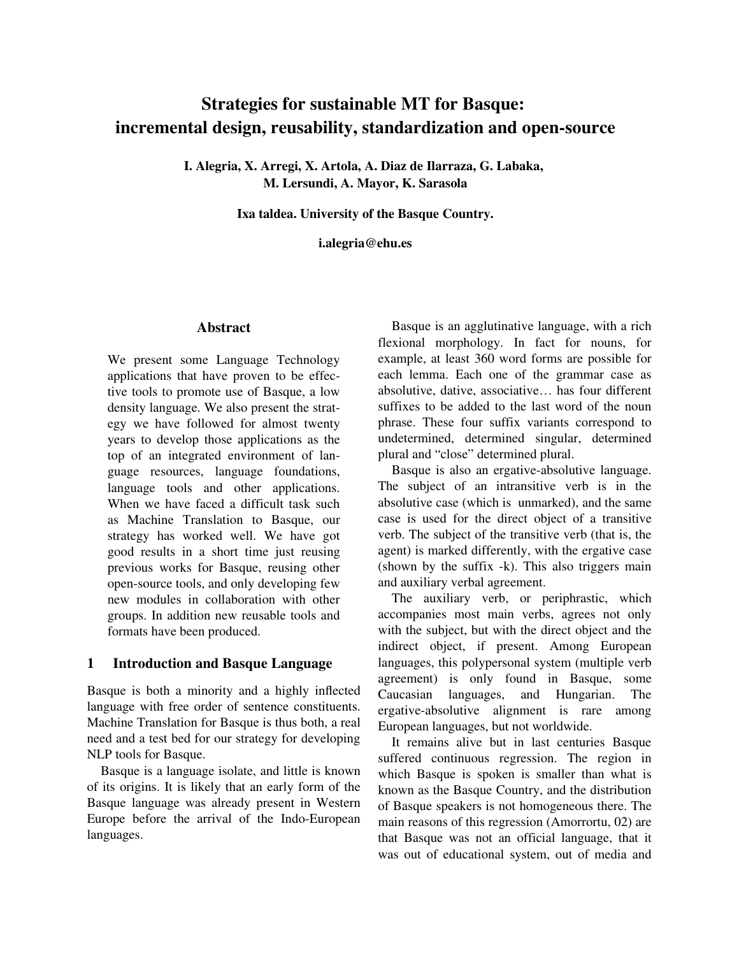# Strategies for sustainable MT for Basque: incremental design, reusability, standardization and open-source

I. Alegria, X. Arregi, X. Artola, A. Diaz de Ilarraza, G. Labaka, M. Lersundi, A. Mayor, K. Sarasola

Ixa taldea. University of the Basque Country.

i.alegria@ehu.es

### **Abstract**

We present some Language Technology applications that have proven to be effective tools to promote use of Basque, a low density language. We also present the strategy we have followed for almost twenty years to develop those applications as the top of an integrated environment of language resources, language foundations, language tools and other applications. When we have faced a difficult task such as Machine Translation to Basque, our strategy has worked well. We have got good results in a short time just reusing previous works for Basque, reusing other open-source tools, and only developing few new modules in collaboration with other groups. In addition new reusable tools and formats have been produced.

# 1 Introduction and Basque Language

Basque is both a minority and a highly inflected language with free order of sentence constituents. Machine Translation for Basque is thus both, a real need and a test bed for our strategy for developing NLP tools for Basque.

Basque is a language isolate, and little is known of its origins. It is likely that an early form of the Basque language was already present in Western Europe before the arrival of the Indo-European languages.

Basque is an agglutinative language, with a rich flexional morphology. In fact for nouns, for example, at least 360 word forms are possible for each lemma. Each one of the grammar case as absolutive, dative, associative… has four different suffixes to be added to the last word of the noun phrase. These four suffix variants correspond to undetermined, determined singular, determined plural and "close" determined plural.

Basque is also an ergative-absolutive language. The subject of an intransitive verb is in the absolutive case (which is unmarked), and the same case is used for the direct object of a transitive verb. The subject of the transitive verb (that is, the agent) is marked differently, with the ergative case (shown by the suffix  $-k$ ). This also triggers main and auxiliary verbal agreement.

The auxiliary verb, or periphrastic, which accompanies most main verbs, agrees not only with the subject, but with the direct object and the indirect object, if present. Among European languages, this polypersonal system (multiple verb agreement) is only found in Basque, some Caucasian languages, and Hungarian. The ergative-absolutive alignment is rare among European languages, but not worldwide.

It remains alive but in last centuries Basque suffered continuous regression. The region in which Basque is spoken is smaller than what is known as the Basque Country, and the distribution of Basque speakers is not homogeneous there. The main reasons of this regression (Amorrortu, 02) are that Basque was not an official language, that it was out of educational system, out of media and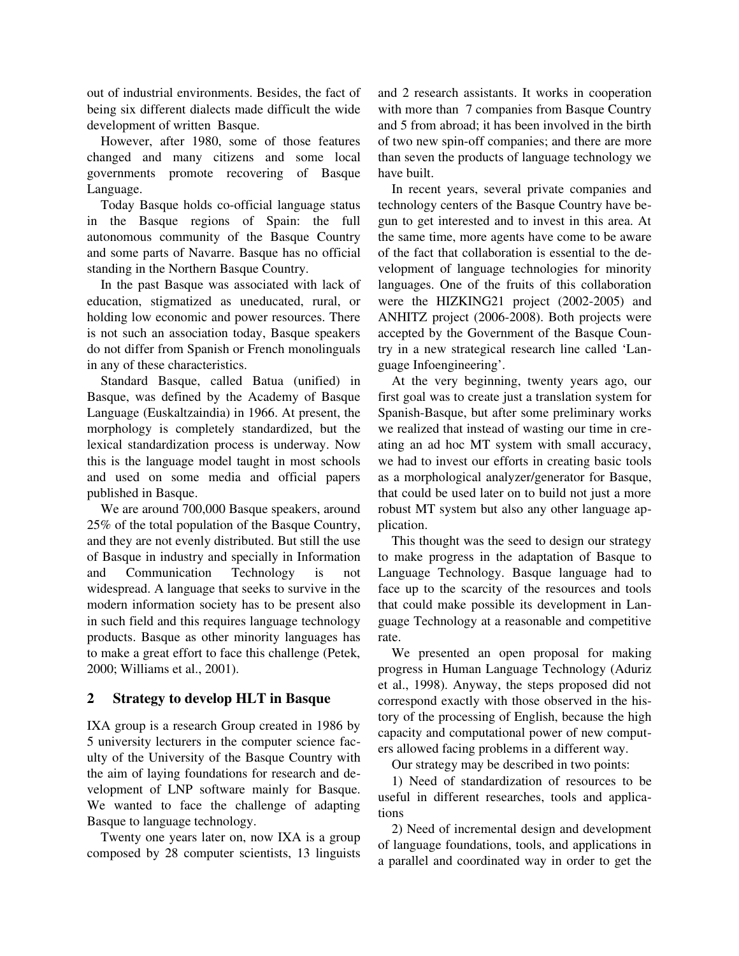out of industrial environments. Besides, the fact of being six different dialects made difficult the wide development of written Basque.

However, after 1980, some of those features changed and many citizens and some local governments promote recovering of Basque Language.

Today Basque holds co-official language status in the Basque regions of Spain: the full autonomous community of the Basque Country and some parts of Navarre. Basque has no official standing in the Northern Basque Country.

In the past Basque was associated with lack of education, stigmatized as uneducated, rural, or holding low economic and power resources. There is not such an association today, Basque speakers do not differ from Spanish or French monolinguals in any of these characteristics.

Standard Basque, called Batua (unified) in Basque, was defined by the Academy of Basque Language (Euskaltzaindia) in 1966. At present, the morphology is completely standardized, but the lexical standardization process is underway. Now this is the language model taught in most schools and used on some media and official papers published in Basque.

We are around 700,000 Basque speakers, around 25% of the total population of the Basque Country, and they are not evenly distributed. But still the use of Basque in industry and specially in Information and Communication Technology is not widespread. A language that seeks to survive in the modern information society has to be present also in such field and this requires language technology products. Basque as other minority languages has to make a great effort to face this challenge (Petek, 2000; Williams et al., 2001).

# 2 Strategy to develop HLT in Basque

IXA group is a research Group created in 1986 by 5 university lecturers in the computer science faculty of the University of the Basque Country with the aim of laying foundations for research and development of LNP software mainly for Basque. We wanted to face the challenge of adapting Basque to language technology.

Twenty one years later on, now IXA is a group composed by 28 computer scientists, 13 linguists and 2 research assistants. It works in cooperation with more than 7 companies from Basque Country and 5 from abroad; it has been involved in the birth of two new spin-off companies; and there are more than seven the products of language technology we have built.

In recent years, several private companies and technology centers of the Basque Country have begun to get interested and to invest in this area. At the same time, more agents have come to be aware of the fact that collaboration is essential to the development of language technologies for minority languages. One of the fruits of this collaboration were the  $HIZKING21$  project  $(2002-2005)$  and ANHITZ project (2006-2008). Both projects were accepted by the Government of the Basque Country in a new strategical research line called 'Language Infoengineering'.

At the very beginning, twenty years ago, our first goal was to create just a translation system for Spanish-Basque, but after some preliminary works we realized that instead of wasting our time in creating an ad hoc MT system with small accuracy, we had to invest our efforts in creating basic tools as a morphological analyzer/generator for Basque, that could be used later on to build not just a more robust MT system but also any other language application.

This thought was the seed to design our strategy to make progress in the adaptation of Basque to Language Technology. Basque language had to face up to the scarcity of the resources and tools that could make possible its development in Language Technology at a reasonable and competitive rate.

We presented an open proposal for making progress in Human Language Technology (Aduriz et al., 1998). Anyway, the steps proposed did not correspond exactly with those observed in the history of the processing of English, because the high capacity and computational power of new computers allowed facing problems in a different way.

Our strategy may be described in two points:

1) Need of standardization of resources to be useful in different researches, tools and applications

2) Need of incremental design and development of language foundations, tools, and applications in a parallel and coordinated way in order to get the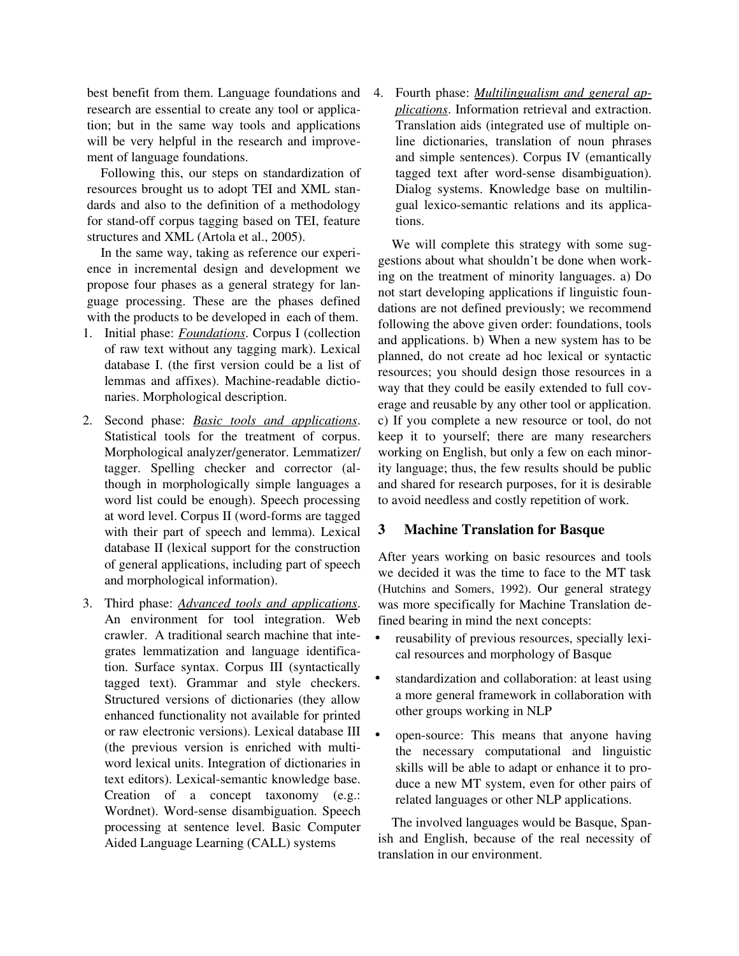best benefit from them. Language foundations and research are essential to create any tool or application; but in the same way tools and applications will be very helpful in the research and improvement of language foundations.

Following this, our steps on standardization of resources brought us to adopt TEI and XML standards and also to the definition of a methodology for stand-off corpus tagging based on TEI, feature structures and XML (Artola et al., 2005).

In the same way, taking as reference our experience in incremental design and development we propose four phases as a general strategy for language processing. These are the phases defined with the products to be developed in each of them.

- 1. Initial phase: *Foundations*. Corpus I (collection of raw text without any tagging mark). Lexical database I. (the first version could be a list of lemmas and affixes). Machine-readable dictionaries. Morphological description.
- 2. Second phase: *Basic tools and applications*. Statistical tools for the treatment of corpus. Morphological analyzer/generator. Lemmatizer/ tagger. Spelling checker and corrector (although in morphologically simple languages a word list could be enough). Speech processing at word level. Corpus II (word-forms are tagged with their part of speech and lemma). Lexical database II (lexical support for the construction of general applications, including part of speech and morphological information).
- 3. Third phase: *Advanced tools and applications*. An environment for tool integration. Web crawler. A traditional search machine that integrates lemmatization and language identification. Surface syntax. Corpus III (syntactically tagged text). Grammar and style checkers. Structured versions of dictionaries (they allow enhanced functionality not available for printed or raw electronic versions). Lexical database III (the previous version is enriched with multiword lexical units. Integration of dictionaries in text editors). Lexical-semantic knowledge base. Creation of a concept  $taxonomy$   $(e.g.:$ Wordnet). Word-sense disambiguation. Speech processing at sentence level. Basic Computer Aided Language Learning (CALL) systems

4. Fourth phase: *Multilingualism and general applications*. Information retrieval and extraction. Translation aids (integrated use of multiple online dictionaries, translation of noun phrases and simple sentences). Corpus IV (emantically tagged text after word-sense disambiguation). Dialog systems. Knowledge base on multilingual lexico-semantic relations and its applications.

We will complete this strategy with some suggestions about what shouldn't be done when working on the treatment of minority languages. a) Do not start developing applications if linguistic foundations are not defined previously; we recommend following the above given order: foundations, tools and applications. b) When a new system has to be planned, do not create ad hoc lexical or syntactic resources; you should design those resources in a way that they could be easily extended to full coverage and reusable by any other tool or application. c) If you complete a new resource or tool, do not keep it to yourself; there are many researchers working on English, but only a few on each minority language; thus, the few results should be public and shared for research purposes, for it is desirable to avoid needless and costly repetition of work.

# 3 Machine Translation for Basque

After years working on basic resources and tools we decided it was the time to face to the MT task (Hutchins and Somers, 1992). Our general strategy was more specifically for Machine Translation defined bearing in mind the next concepts:

- reusability of previous resources, specially lexical resources and morphology of Basque
- standardization and collaboration: at least using a more general framework in collaboration with other groups working in NLP
- open-source: This means that anyone having the necessary computational and linguistic skills will be able to adapt or enhance it to produce a new MT system, even for other pairs of related languages or other NLP applications.

The involved languages would be Basque, Spanish and English, because of the real necessity of translation in our environment.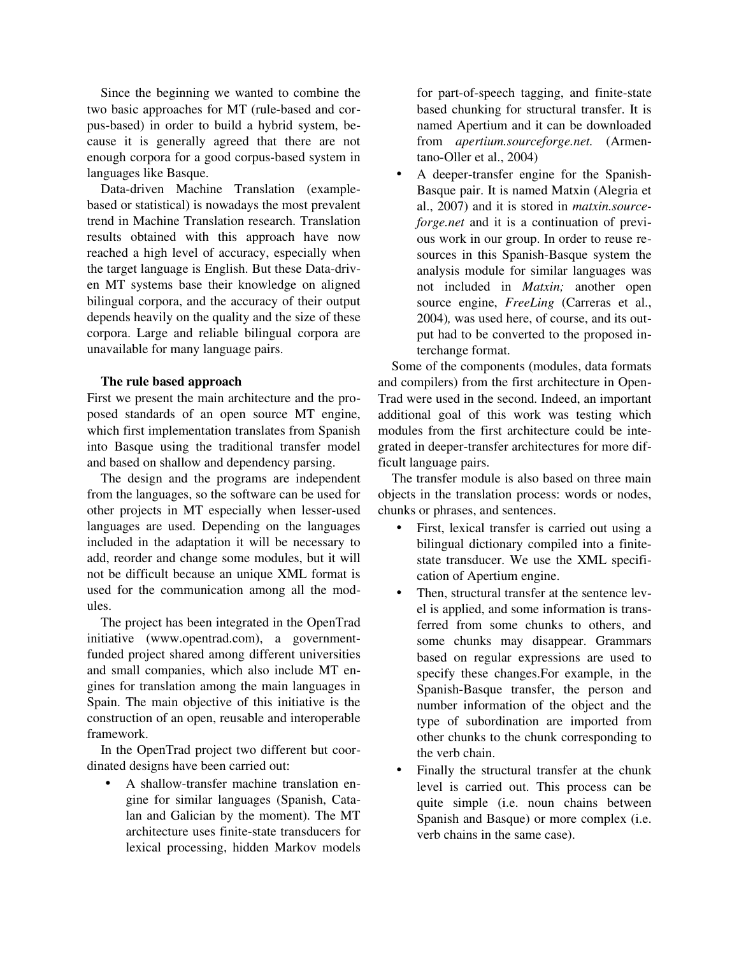Since the beginning we wanted to combine the two basic approaches for MT (rule-based and corpus-based) in order to build a hybrid system, because it is generally agreed that there are not enough corpora for a good corpus-based system in languages like Basque.

Data-driven Machine Translation (examplebased or statistical) is nowadays the most prevalent trend in Machine Translation research. Translation results obtained with this approach have now reached a high level of accuracy, especially when the target language is English. But these Data-driven MT systems base their knowledge on aligned bilingual corpora, and the accuracy of their output depends heavily on the quality and the size of these corpora. Large and reliable bilingual corpora are unavailable for many language pairs.

#### The rule based approach

First we present the main architecture and the proposed standards of an open source MT engine, which first implementation translates from Spanish into Basque using the traditional transfer model and based on shallow and dependency parsing.

The design and the programs are independent from the languages, so the software can be used for other projects in MT especially when lesser-used languages are used. Depending on the languages included in the adaptation it will be necessary to add, reorder and change some modules, but it will not be difficult because an unique XML format is used for the communication among all the modules.

The project has been integrated in the OpenTrad initiative (www.opentrad.com), a governmentfunded project shared among different universities and small companies, which also include MT engines for translation among the main languages in Spain. The main objective of this initiative is the construction of an open, reusable and interoperable framework.

In the OpenTrad project two different but coordinated designs have been carried out:

• A shallow-transfer machine translation engine for similar languages (Spanish, Catalan and Galician by the moment). The MT architecture uses finite-state transducers for lexical processing, hidden Markov models

for part-of-speech tagging, and finite-state based chunking for structural transfer. It is named Apertium and it can be downloaded from *apertium.sourceforge.net.* (Armentano-Oller et al., 2004)

A deeper-transfer engine for the Spanish-Basque pair. It is named Matxin (Alegria et al., 2007) and it is stored in *matxin.sourceforge.net* and it is a continuation of previous work in our group. In order to reuse resources in this Spanish-Basque system the analysis module for similar languages was not included in *Matxin*; another open source engine, *FreeLing* (Carreras et al., 2004)*,* was used here, of course, and its output had to be converted to the proposed interchange format.

Some of the components (modules, data formats and compilers) from the first architecture in Open-Trad were used in the second. Indeed, an important additional goal of this work was testing which modules from the first architecture could be integrated in deeper-transfer architectures for more difficult language pairs.

The transfer module is also based on three main objects in the translation process: words or nodes, chunks or phrases, and sentences.

- First, lexical transfer is carried out using a bilingual dictionary compiled into a finitestate transducer. We use the XML specification of Apertium engine.
- Then, structural transfer at the sentence level is applied, and some information is transferred from some chunks to others, and some chunks may disappear. Grammars based on regular expressions are used to specify these changes.For example, in the Spanish-Basque transfer, the person and number information of the object and the type of subordination are imported from other chunks to the chunk corresponding to the verb chain.
- Finally the structural transfer at the chunk level is carried out. This process can be quite simple (i.e. noun chains between Spanish and Basque) or more complex (i.e. verb chains in the same case).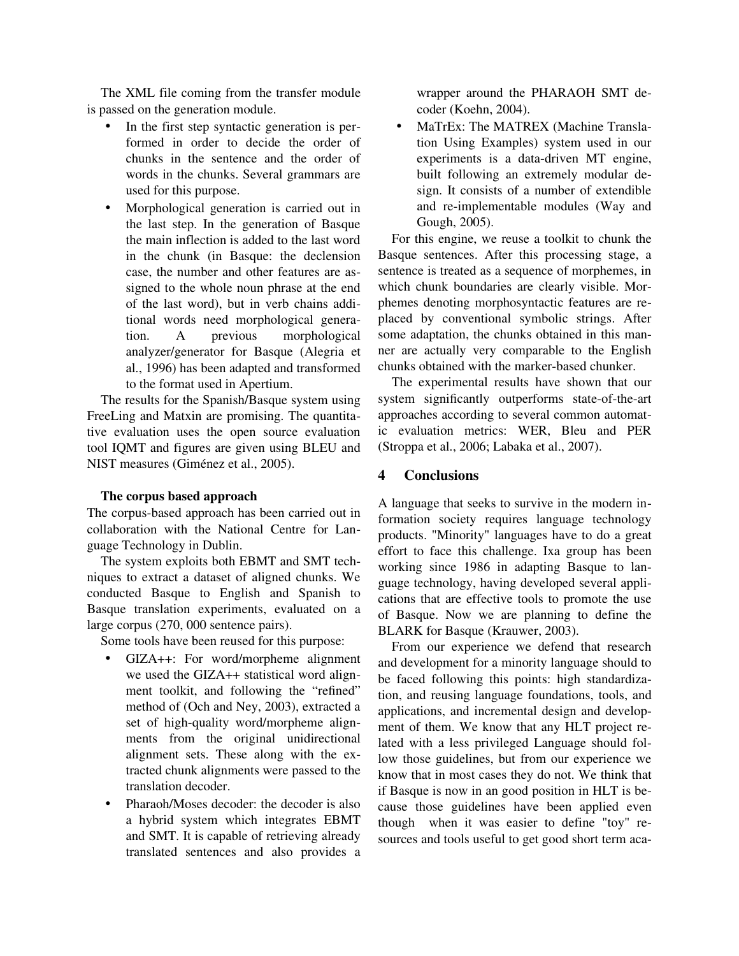The XML file coming from the transfer module is passed on the generation module.

- In the first step syntactic generation is performed in order to decide the order of chunks in the sentence and the order of words in the chunks. Several grammars are used for this purpose.
- Morphological generation is carried out in the last step. In the generation of Basque the main inflection is added to the last word in the chunk (in Basque: the declension case, the number and other features are assigned to the whole noun phrase at the end of the last word), but in verb chains additional words need morphological generation. A previous morphological analyzer/generator for Basque (Alegria et al., 1996) has been adapted and transformed to the format used in Apertium.

The results for the Spanish/Basque system using FreeLing and Matxin are promising. The quantitative evaluation uses the open source evaluation tool IQMT and figures are given using BLEU and NIST measures (Giménez et al., 2005).

# The corpus based approach

The corpus-based approach has been carried out in collaboration with the National Centre for Language Technology in Dublin.

The system exploits both EBMT and SMT techniques to extract a dataset of aligned chunks. We conducted Basque to English and Spanish to Basque translation experiments, evaluated on a large corpus (270, 000 sentence pairs).

Some tools have been reused for this purpose:

- GIZA++: For word/morpheme alignment we used the GIZA++ statistical word alignment toolkit, and following the "refined" method of (Och and Ney, 2003), extracted a set of high-quality word/morpheme alignments from the original unidirectional alignment sets. These along with the extracted chunk alignments were passed to the translation decoder.
- Pharaoh/Moses decoder: the decoder is also a hybrid system which integrates EBMT and SMT. It is capable of retrieving already translated sentences and also provides a

wrapper around the PHARAOH SMT decoder (Koehn, 2004).

• MaTrEx: The MATREX (Machine Translation Using Examples) system used in our experiments is a data-driven MT engine, built following an extremely modular design. It consists of a number of extendible and re-implementable modules (Way and Gough, 2005).

 For this engine, we reuse a toolkit to chunk the Basque sentences. After this processing stage, a sentence is treated as a sequence of morphemes, in which chunk boundaries are clearly visible. Morphemes denoting morphosyntactic features are replaced by conventional symbolic strings. After some adaptation, the chunks obtained in this manner are actually very comparable to the English chunks obtained with the marker-based chunker.

The experimental results have shown that our system significantly outperforms state-of-the-art approaches according to several common automatic evaluation metrics: WER, Bleu and PER (Stroppa et al., 2006; Labaka et al., 2007).

# 4 Conclusions

A language that seeks to survive in the modern information society requires language technology products. "Minority" languages have to do a great effort to face this challenge. Ixa group has been working since 1986 in adapting Basque to language technology, having developed several applications that are effective tools to promote the use of Basque. Now we are planning to define the BLARK for Basque (Krauwer, 2003).

From our experience we defend that research and development for a minority language should to be faced following this points: high standardization, and reusing language foundations, tools, and applications, and incremental design and development of them. We know that any HLT project related with a less privileged Language should follow those guidelines, but from our experience we know that in most cases they do not. We think that if Basque is now in an good position in HLT is because those guidelines have been applied even though when it was easier to define "toy" resources and tools useful to get good short term aca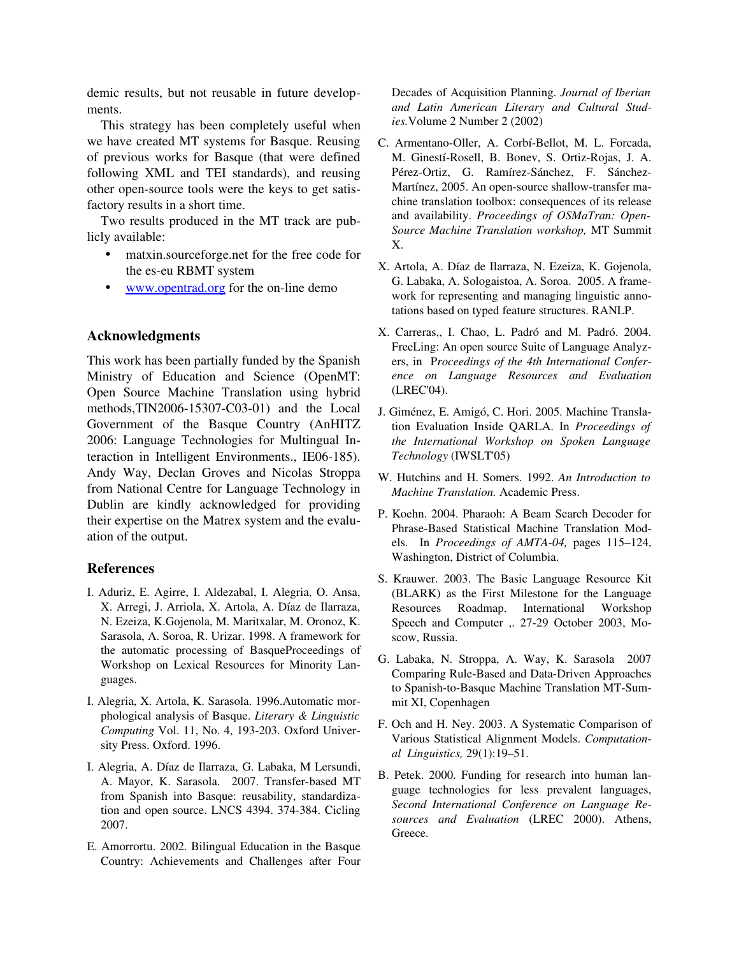demic results, but not reusable in future developments.

This strategy has been completely useful when we have created MT systems for Basque. Reusing of previous works for Basque (that were defined following XML and TEI standards), and reusing other open-source tools were the keys to get satisfactory results in a short time.

Two results produced in the MT track are publicly available:

- matxin.sourceforge.net for the free code for the es-eu RBMT system
- [www.opentrad.org](http://www.opentrad.org/) for the on-line demo

#### Acknowledgments

This work has been partially funded by the Spanish Ministry of Education and Science (OpenMT: Open Source Machine Translation using hybrid methods, $TIN2006-15307-C03-01$  and the Local Government of the Basque Country (AnHITZ 2006: Language Technologies for Multingual Interaction in Intelligent Environments., IE06-185). Andy Way, Declan Groves and Nicolas Stroppa from National Centre for Language Technology in Dublin are kindly acknowledged for providing their expertise on the Matrex system and the evaluation of the output.

# References

- I. Aduriz, E. Agirre, I. Aldezabal, I. Alegria, O. Ansa, X. Arregi, J. Arriola, X. Artola, A. Díaz de Ilarraza, N. Ezeiza, K.Gojenola, M. Maritxalar, M. Oronoz, K. Sarasola, A. Soroa, R. Urizar. 1998. A framework for the automatic processing of BasqueProceedings of Workshop on Lexical Resources for Minority Languages.
- I. Alegria, X. Artola, K. Sarasola. 1996.Automatic morphological analysis of Basque. *Literary & Linguistic Computing* Vol. 11, No. 4, 193-203. Oxford University Press. Oxford. 1996.
- I. Alegria, A. Díaz de Ilarraza, G. Labaka, M Lersundi, A. Mayor, K. Sarasola. 2007. Transfer-based MT from Spanish into Basque: reusability, standardization and open source. LNCS 4394. 374-384. Cicling 2007.
- E. Amorrortu. 2002. Bilingual Education in the Basque Country: Achievements and Challenges after Four

Decades of Acquisition Planning. *Journal of Iberian and Latin American Literary and Cultural Studies.*Volume 2 Number 2 (2002)

- C. Armentano-Oller, A. Corbí-Bellot, M. L. Forcada, M. Ginestí-Rosell, B. Bonev, S. Ortiz-Rojas, J. A. Pérez-Ortiz, G. Ramírez-Sánchez, F. Sánchez-Martínez, 2005. An open-source shallow-transfer machine translation toolbox: consequences of its release and availability. *Proceedings of OSMaTran: Open-Source Machine Translation workshop,* MT Summit X.
- X. Artola, A. Díaz de Ilarraza, N. Ezeiza, K. Gojenola, G. Labaka, A. Sologaistoa, A. Soroa. 2005. A framework for representing and managing linguistic annotations based on typed feature structures. RANLP.
- X. Carreras,, I. Chao, L. Padró and M. Padró. 2004. FreeLing: An open source Suite of Language Analyzers, in P*roceedings of the 4th International Conference on Language Resources and Evaluation* (LREC'04).
- J. Giménez, E. Amigó, C. Hori. 2005. Machine Translation Evaluation Inside QARLA. In *Proceedings of the International Workshop on Spoken Language Technology* (IWSLT'05)
- W. Hutchins and H. Somers. 1992. *An Introduction to Machine Translation.* Academic Press.
- P. Koehn. 2004. Pharaoh: A Beam Search Decoder for Phrase-Based Statistical Machine Translation Models. In Proceedings of AMTA-04, pages 115-124, Washington, District of Columbia.
- S. Krauwer. 2003. The Basic Language Resource Kit (BLARK) as the First Milestone for the Language Resources Roadmap. International Workshop Speech and Computer ,. 27-29 October 2003, Moscow, Russia.
- G. Labaka, N. Stroppa, A. Way, K. Sarasola 2007 Comparing Rule-Based and Data-Driven Approaches to Spanish-to-Basque Machine Translation MT-Summit XI, Copenhagen
- F. Och and H. Ney. 2003. A Systematic Comparison of Various Statistical Alignment Models. *Computational Linguistics,* 29(1):19–51.
- B. Petek. 2000. Funding for research into human language technologies for less prevalent languages, *Second International Conference on Language Resources and Evaluation* (LREC 2000). Athens, Greece.